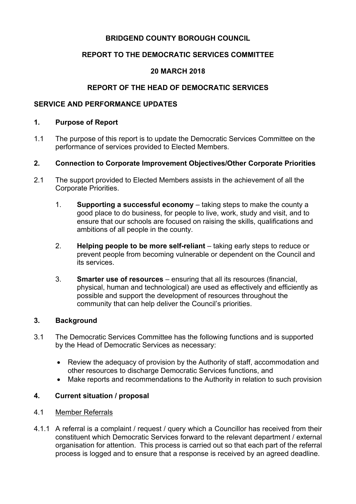# **BRIDGEND COUNTY BOROUGH COUNCIL**

# **REPORT TO THE DEMOCRATIC SERVICES COMMITTEE**

# **20 MARCH 2018**

# **REPORT OF THE HEAD OF DEMOCRATIC SERVICES**

## **SERVICE AND PERFORMANCE UPDATES**

#### **1. Purpose of Report**

1.1 The purpose of this report is to update the Democratic Services Committee on the performance of services provided to Elected Members.

### **2. Connection to Corporate Improvement Objectives/Other Corporate Priorities**

- 2.1 The support provided to Elected Members assists in the achievement of all the Corporate Priorities.
	- 1. **Supporting a successful economy** taking steps to make the county a good place to do business, for people to live, work, study and visit, and to ensure that our schools are focused on raising the skills, qualifications and ambitions of all people in the county.
	- 2. **Helping people to be more self-reliant** taking early steps to reduce or prevent people from becoming vulnerable or dependent on the Council and its services.
	- 3. **Smarter use of resources** ensuring that all its resources (financial, physical, human and technological) are used as effectively and efficiently as possible and support the development of resources throughout the community that can help deliver the Council's priorities.

#### **3. Background**

- 3.1 The Democratic Services Committee has the following functions and is supported by the Head of Democratic Services as necessary:
	- Review the adequacy of provision by the Authority of staff, accommodation and other resources to discharge Democratic Services functions, and
	- Make reports and recommendations to the Authority in relation to such provision

# **4. Current situation / proposal**

- 4.1 Member Referrals
- 4.1.1 A referral is a complaint / request / query which a Councillor has received from their constituent which Democratic Services forward to the relevant department / external organisation for attention. This process is carried out so that each part of the referral process is logged and to ensure that a response is received by an agreed deadline.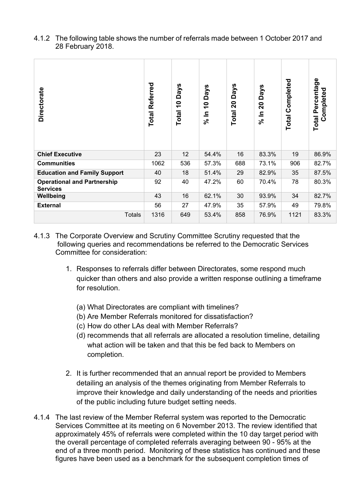| 4.1.2 The following table shows the number of referrals made between 1 October 2017 and |
|-----------------------------------------------------------------------------------------|
| 28 February 2018.                                                                       |

| <b>Directorate</b>                                    | Referred<br>Total | <b>Days</b><br>Total 10 | <b>Days</b><br>$\overline{\mathbf{C}}$<br>드<br>ೢೕ | <b>Days</b><br>$\mathbf{S}$<br>Total | <b>Days</b><br>20<br>$\frac{1}{2}$ | Completed<br>Total | <b>Total Percentage</b><br>Completed |
|-------------------------------------------------------|-------------------|-------------------------|---------------------------------------------------|--------------------------------------|------------------------------------|--------------------|--------------------------------------|
| <b>Chief Executive</b>                                | 23                | 12                      | 54.4%                                             | 16                                   | 83.3%                              | 19                 | 86.9%                                |
| <b>Communities</b>                                    | 1062              | 536                     | 57.3%                                             | 688                                  | 73.1%                              | 906                | 82.7%                                |
| <b>Education and Family Support</b>                   | 40                | 18                      | 51.4%                                             | 29                                   | 82.9%                              | 35                 | 87.5%                                |
| <b>Operational and Partnership</b><br><b>Services</b> | 92                | 40                      | 47.2%                                             | 60                                   | 70.4%                              | 78                 | 80.3%                                |
| Wellbeing                                             | 43                | 16                      | 62.1%                                             | 30                                   | 93.9%                              | 34                 | 82.7%                                |
| <b>External</b>                                       | 56                | 27                      | 47.9%                                             | 35                                   | 57.9%                              | 49                 | 79.8%                                |
| <b>Totals</b>                                         | 1316              | 649                     | 53.4%                                             | 858                                  | 76.9%                              | 1121               | 83.3%                                |

- 4.1.3 The Corporate Overview and Scrutiny Committee Scrutiny requested that the following queries and recommendations be referred to the Democratic Services Committee for consideration:
	- 1. Responses to referrals differ between Directorates, some respond much quicker than others and also provide a written response outlining a timeframe for resolution.
		- (a) What Directorates are compliant with timelines?
		- (b) Are Member Referrals monitored for dissatisfaction?
		- (c) How do other LAs deal with Member Referrals?
		- (d) recommends that all referrals are allocated a resolution timeline, detailing what action will be taken and that this be fed back to Members on completion.
	- 2. It is further recommended that an annual report be provided to Members detailing an analysis of the themes originating from Member Referrals to improve their knowledge and daily understanding of the needs and priorities of the public including future budget setting needs.
- 4.1.4 The last review of the Member Referral system was reported to the Democratic Services Committee at its meeting on 6 November 2013. The review identified that approximately 45% of referrals were completed within the 10 day target period with the overall percentage of completed referrals averaging between 90 - 95% at the end of a three month period. Monitoring of these statistics has continued and these figures have been used as a benchmark for the subsequent completion times of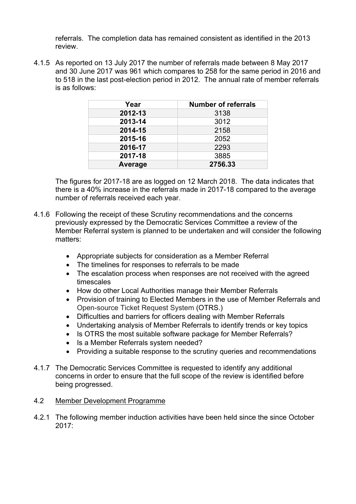referrals. The completion data has remained consistent as identified in the 2013 review.

4.1.5 As reported on 13 July 2017 the number of referrals made between 8 May 2017 and 30 June 2017 was 961 which compares to 258 for the same period in 2016 and to 518 in the last post-election period in 2012. The annual rate of member referrals is as follows:

| Year    | <b>Number of referrals</b> |
|---------|----------------------------|
| 2012-13 | 3138                       |
| 2013-14 | 3012                       |
| 2014-15 | 2158                       |
| 2015-16 | 2052                       |
| 2016-17 | 2293                       |
| 2017-18 | 3885                       |
| Average | 2756.33                    |

The figures for 2017-18 are as logged on 12 March 2018. The data indicates that there is a 40% increase in the referrals made in 2017-18 compared to the average number of referrals received each year.

- 4.1.6 Following the receipt of these Scrutiny recommendations and the concerns previously expressed by the Democratic Services Committee a review of the Member Referral system is planned to be undertaken and will consider the following matters:
	- Appropriate subjects for consideration as a Member Referral
	- The timelines for responses to referrals to be made
	- The escalation process when responses are not received with the agreed timescales
	- How do other Local Authorities manage their Member Referrals
	- Provision of training to Elected Members in the use of Member Referrals and Open-source Ticket Request System (OTRS.)
	- Difficulties and barriers for officers dealing with Member Referrals
	- Undertaking analysis of Member Referrals to identify trends or key topics
	- Is OTRS the most suitable software package for Member Referrals?
	- Is a Member Referrals system needed?
	- Providing a suitable response to the scrutiny queries and recommendations
- 4.1.7 The Democratic Services Committee is requested to identify any additional concerns in order to ensure that the full scope of the review is identified before being progressed.

#### 4.2 Member Development Programme

4.2.1 The following member induction activities have been held since the since October 2017: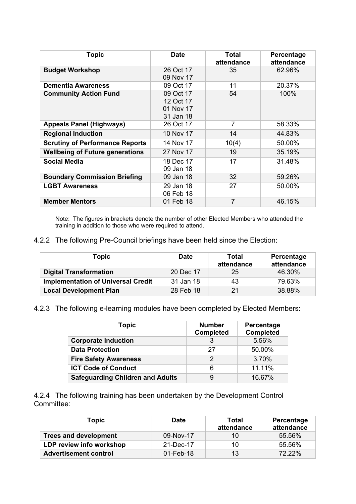| <b>Topic</b>                           | <b>Date</b>                                      | Total<br>attendance | Percentage<br>attendance |
|----------------------------------------|--------------------------------------------------|---------------------|--------------------------|
| <b>Budget Workshop</b>                 | 26 Oct 17<br>09 Nov 17                           | 35                  | 62.96%                   |
| <b>Dementia Awareness</b>              | 09 Oct 17                                        | 11                  | 20.37%                   |
| <b>Community Action Fund</b>           | 09 Oct 17<br>12 Oct 17<br>01 Nov 17<br>31 Jan 18 | 54                  | 100%                     |
| <b>Appeals Panel (Highways)</b>        | 26 Oct 17                                        | 7                   | 58.33%                   |
| <b>Regional Induction</b>              | 10 Nov 17                                        | 14                  | 44.83%                   |
| <b>Scrutiny of Performance Reports</b> | 14 Nov 17                                        | 10(4)               | 50.00%                   |
| <b>Wellbeing of Future generations</b> | 27 Nov 17                                        | 19                  | 35.19%                   |
| <b>Social Media</b>                    | 18 Dec 17<br>09 Jan 18                           | 17                  | 31.48%                   |
| <b>Boundary Commission Briefing</b>    | 09 Jan 18                                        | 32                  | 59.26%                   |
| <b>LGBT Awareness</b>                  | 29 Jan 18<br>06 Feb 18                           | 27                  | 50.00%                   |
| <b>Member Mentors</b>                  | 01 Feb 18                                        | 7                   | 46.15%                   |

Note: The figures in brackets denote the number of other Elected Members who attended the training in addition to those who were required to attend.

4.2.2 The following Pre-Council briefings have been held since the Election:

| Topic                                     | <b>Date</b> | <b>Total</b><br>attendance | Percentage<br>attendance |
|-------------------------------------------|-------------|----------------------------|--------------------------|
| <b>Digital Transformation</b>             | 20 Dec 17   | 25                         | 46.30%                   |
| <b>Implementation of Universal Credit</b> | 31 Jan 18   | 43                         | 79.63%                   |
| <b>Local Development Plan</b>             | 28 Feb 18   | 21                         | 38.88%                   |

4.2.3 The following e-learning modules have been completed by Elected Members:

| Topic                                   | <b>Number</b><br><b>Completed</b> | Percentage<br><b>Completed</b> |
|-----------------------------------------|-----------------------------------|--------------------------------|
| <b>Corporate Induction</b>              |                                   | 5.56%                          |
| <b>Data Protection</b>                  | 27                                | 50.00%                         |
| <b>Fire Safety Awareness</b>            | 2                                 | 3.70%                          |
| <b>ICT Code of Conduct</b>              | 6                                 | 11.11%                         |
| <b>Safeguarding Children and Adults</b> | 9                                 | 16.67%                         |

4.2.4 The following training has been undertaken by the Development Control Committee:

| Topic                        | <b>Date</b> | Total<br>attendance | Percentage<br>attendance |
|------------------------------|-------------|---------------------|--------------------------|
| <b>Trees and development</b> | 09-Nov-17   | 10                  | 55.56%                   |
| LDP review info workshop     | 21-Dec-17   | 10                  | 55.56%                   |
| <b>Advertisement control</b> | 01-Feb-18   | 13                  | 72.22%                   |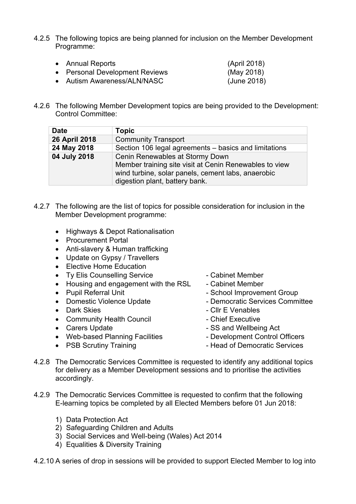4.2.5 The following topics are being planned for inclusion on the Member Development Programme:

| • Annual Reports               | (April 2018) |
|--------------------------------|--------------|
| • Personal Development Reviews | (May 2018)   |
| • Autism Awareness/ALN/NASC    | (June 2018)  |

4.2.6 The following Member Development topics are being provided to the Development: Control Committee:

| <b>Date</b>   | <b>Topic</b>                                                                                                                                                                      |
|---------------|-----------------------------------------------------------------------------------------------------------------------------------------------------------------------------------|
| 26 April 2018 | <b>Community Transport</b>                                                                                                                                                        |
| 24 May 2018   | Section 106 legal agreements – basics and limitations                                                                                                                             |
| 04 July 2018  | Cenin Renewables at Stormy Down<br>Member training site visit at Cenin Renewables to view<br>wind turbine, solar panels, cement labs, anaerobic<br>digestion plant, battery bank. |

- 4.2.7 The following are the list of topics for possible consideration for inclusion in the Member Development programme:
	- Highways & Depot Rationalisation
	- Procurement Portal
	- Anti-slavery & Human trafficking
	- Update on Gypsy / Travellers
	- Elective Home Education
	- Ty Elis Counselling Service Cabinet Member
	- Housing and engagement with the RSL Cabinet Member
	-
	-
	-
	- Community Health Council **Caulty** Chief Executive
	-
	- Web-based Planning Facilities Development Control Officers
	-
- 
- 
- Pupil Referral Unit  **School Improvement Group**
- Domestic Violence Update  **Access Democratic Services Committee**
- Dark Skies Cllr E Venables
	-
- Carers Update  **SS** and Wellbeing Act
	-
- PSB Scrutiny Training **Communist Communist Communist Communist Communist Communist Communist Communist Communist Communist Communist Communist Communist Communist Communist Communist Communist Communist Communist Communi**
- 4.2.8 The Democratic Services Committee is requested to identify any additional topics for delivery as a Member Development sessions and to prioritise the activities accordingly.
- 4.2.9 The Democratic Services Committee is requested to confirm that the following E-learning topics be completed by all Elected Members before 01 Jun 2018:
	- 1) Data Protection Act
	- 2) Safeguarding Children and Adults
	- 3) Social Services and Well-being (Wales) Act 2014
	- 4) Equalities & Diversity Training

4.2.10 A series of drop in sessions will be provided to support Elected Member to log into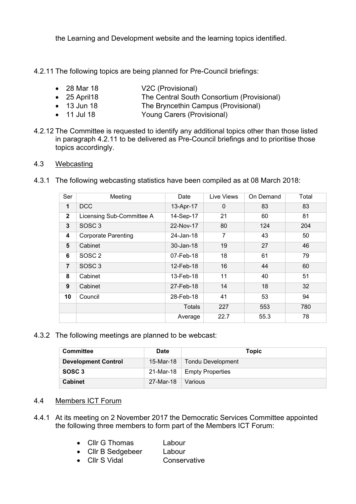the Learning and Development website and the learning topics identified.

4.2.11 The following topics are being planned for Pre-Council briefings:

- 28 Mar 18 V2C (Provisional)
- 25 April18 The Central South Consortium (Provisional)
- 13 Jun 18 The Bryncethin Campus (Provisional)
- 11 Jul 18 Young Carers (Provisional)
- 4.2.12 The Committee is requested to identify any additional topics other than those listed in paragraph 4.2.11 to be delivered as Pre-Council briefings and to prioritise those topics accordingly.

## 4.3 Webcasting

4.3.1 The following webcasting statistics have been compiled as at 08 March 2018:

| Ser              | Meeting                    | Date          | Live Views   | On Demand | Total |
|------------------|----------------------------|---------------|--------------|-----------|-------|
| 1                | <b>DCC</b>                 | 13-Apr-17     | $\mathbf{0}$ | 83        | 83    |
| $\mathbf{2}$     | Licensing Sub-Committee A  | 14-Sep-17     | 21           | 60        | 81    |
| 3                | SOSC <sub>3</sub>          | 22-Nov-17     | 80           | 124       | 204   |
| 4                | <b>Corporate Parenting</b> | 24-Jan-18     | 7            | 43        | 50    |
| 5                | Cabinet                    | 30-Jan-18     | 19           | 27        | 46    |
| 6                | SOSC <sub>2</sub>          | 07-Feb-18     | 18           | 61        | 79    |
| $\overline{7}$   | SOSC <sub>3</sub>          | 12-Feb-18     | 16           | 44        | 60    |
| 8                | Cabinet                    | 13-Feb-18     | 11           | 40        | 51    |
| $\boldsymbol{9}$ | Cabinet                    | 27-Feb-18     | 14           | 18        | 32    |
| 10               | Council                    | 28-Feb-18     | 41           | 53        | 94    |
|                  |                            | <b>Totals</b> | 227          | 553       | 780   |
|                  |                            | Average       | 22.7         | 55.3      | 78    |

4.3.2 The following meetings are planned to be webcast:

| <b>Committee</b>           | <b>Date</b> | Topic                         |
|----------------------------|-------------|-------------------------------|
| <b>Development Control</b> |             | 15-Mar-18   Tondu Development |
| SOSC <sub>3</sub>          |             | 21-Mar-18   Empty Properties  |
| <b>Cabinet</b>             | 27-Mar-18   | Various                       |

# 4.4 Members ICT Forum

- 4.4.1 At its meeting on 2 November 2017 the Democratic Services Committee appointed the following three members to form part of the Members ICT Forum:
	- Cllr G Thomas Labour
	- Cllr B Sedgebeer Labour
	- Cllr S Vidal Conservative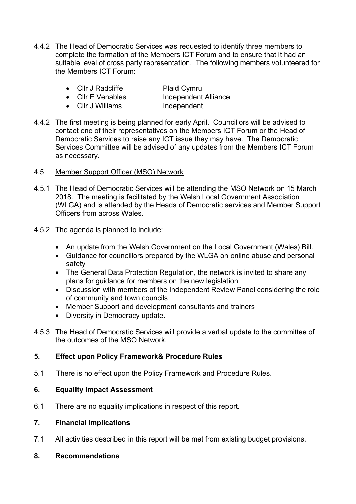- 4.4.2 The Head of Democratic Services was requested to identify three members to complete the formation of the Members ICT Forum and to ensure that it had an suitable level of cross party representation. The following members volunteered for the Members ICT Forum:
	- Cllr J Radcliffe Plaid Cymru
	- Cllr E Venables Independent Alliance
- -
- 
- Cllr J Williams Independent
- 4.4.2 The first meeting is being planned for early April. Councillors will be advised to contact one of their representatives on the Members ICT Forum or the Head of Democratic Services to raise any ICT issue they may have. The Democratic Services Committee will be advised of any updates from the Members ICT Forum as necessary.
- 4.5 Member Support Officer (MSO) Network
- 4.5.1 The Head of Democratic Services will be attending the MSO Network on 15 March 2018. The meeting is facilitated by the Welsh Local Government Association (WLGA) and is attended by the Heads of Democratic services and Member Support Officers from across Wales.
- 4.5.2 The agenda is planned to include:
	- An update from the Welsh Government on the Local Government (Wales) Bill.
	- Guidance for councillors prepared by the WLGA on online abuse and personal safety
	- The General Data Protection Regulation, the network is invited to share any plans for guidance for members on the new legislation
	- Discussion with members of the Independent Review Panel considering the role of community and town councils
	- Member Support and development consultants and trainers
	- Diversity in Democracy update.
- 4.5.3 The Head of Democratic Services will provide a verbal update to the committee of the outcomes of the MSO Network.

# **5. Effect upon Policy Framework& Procedure Rules**

5.1 There is no effect upon the Policy Framework and Procedure Rules.

## **6. Equality Impact Assessment**

6.1 There are no equality implications in respect of this report.

#### **7. Financial Implications**

7.1 All activities described in this report will be met from existing budget provisions.

#### **8. Recommendations**